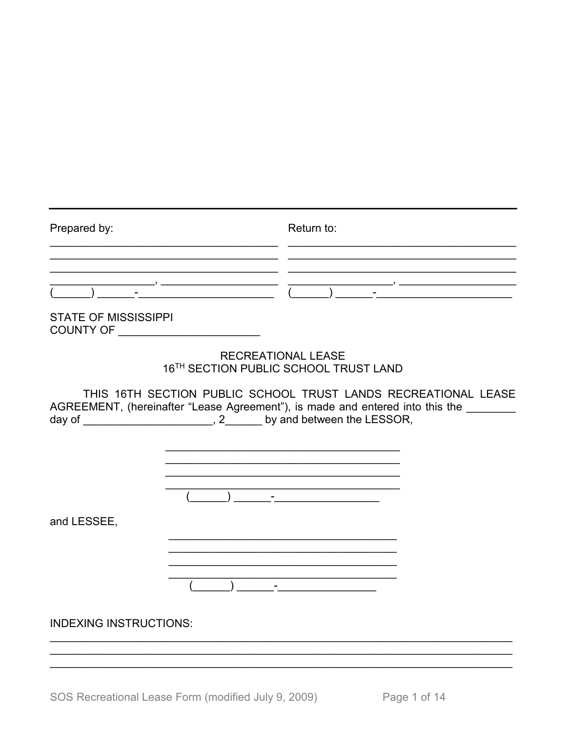| Prepared by:                        | Return to:                                                                                                                                                                                                                       |
|-------------------------------------|----------------------------------------------------------------------------------------------------------------------------------------------------------------------------------------------------------------------------------|
| <b>STATE OF MISSISSIPPI</b>         |                                                                                                                                                                                                                                  |
| COUNTY OF _________________________ | <b>RECREATIONAL LEASE</b><br>16TH SECTION PUBLIC SCHOOL TRUST LAND                                                                                                                                                               |
|                                     | THIS 16TH SECTION PUBLIC SCHOOL TRUST LANDS RECREATIONAL LEASE<br>AGREEMENT, (hereinafter "Lease Agreement"), is made and entered into this the _______<br>day of _________________________, 2_______ by and between the LESSOR, |
|                                     |                                                                                                                                                                                                                                  |
| and LESSEE,                         |                                                                                                                                                                                                                                  |
| <b>INDEXING INSTRUCTIONS:</b>       |                                                                                                                                                                                                                                  |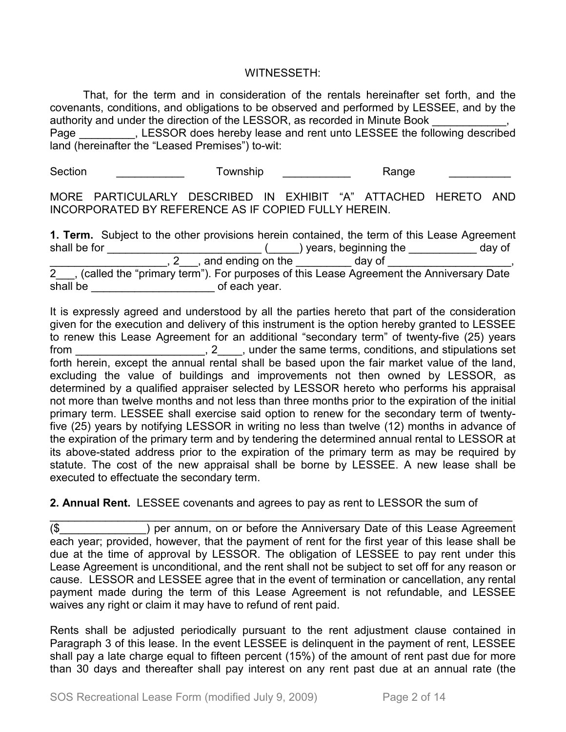#### WITNESSETH:

That, for the term and in consideration of the rentals hereinafter set forth, and the covenants, conditions, and obligations to be observed and performed by LESSEE, and by the authority and under the direction of the LESSOR, as recorded in Minute Book

Page The SSOR does hereby lease and rent unto LESSEE the following described land (hereinafter the "Leased Premises") to-wit:

Section \_\_\_\_\_\_\_\_\_\_\_\_\_ Township \_\_\_\_\_\_\_\_\_\_\_ Range \_\_\_\_\_\_\_\_\_\_\_

MORE PARTICULARLY DESCRIBED IN EXHIBIT "A" ATTACHED HERETO AND INCORPORATED BY REFERENCE AS IF COPIED FULLY HEREIN.

**1. Term.** Subject to the other provisions herein contained, the term of this Lease Agreement shall be for \_\_\_\_\_\_\_\_\_\_\_\_\_\_\_\_\_\_\_\_\_\_\_\_\_\_\_\_(\_\_\_\_\_) years, beginning the \_\_\_\_\_\_\_\_\_\_\_\_ day of \_\_\_\_\_\_\_\_\_\_\_\_\_\_\_\_\_\_\_, 2\_\_\_, and ending on the \_\_\_\_\_\_\_\_\_ day of \_\_\_\_\_\_\_\_\_\_\_\_\_\_\_\_\_, 2\_\_\_, (called the "primary term"). For purposes of this Lease Agreement the Anniversary Date shall be \_\_\_\_\_\_\_\_\_\_\_\_\_\_\_\_\_\_\_\_\_\_\_\_\_\_\_\_\_\_\_\_of each year.

It is expressly agreed and understood by all the parties hereto that part of the consideration given for the execution and delivery of this instrument is the option hereby granted to LESSEE to renew this Lease Agreement for an additional "secondary term" of twenty-five (25) years from from the same terms, conditions, and stipulations set forth herein, except the annual rental shall be based upon the fair market value of the land, excluding the value of buildings and improvements not then owned by LESSOR, as determined by a qualified appraiser selected by LESSOR hereto who performs his appraisal not more than twelve months and not less than three months prior to the expiration of the initial primary term. LESSEE shall exercise said option to renew for the secondary term of twentyfive (25) years by notifying LESSOR in writing no less than twelve (12) months in advance of the expiration of the primary term and by tendering the determined annual rental to LESSOR at its above-stated address prior to the expiration of the primary term as may be required by statute. The cost of the new appraisal shall be borne by LESSEE. A new lease shall be executed to effectuate the secondary term.

#### **2. Annual Rent.** LESSEE covenants and agrees to pay as rent to LESSOR the sum of

\_\_\_\_\_\_\_\_\_\_\_\_\_\_\_\_\_\_\_\_\_\_\_\_\_\_\_\_\_\_\_\_\_\_\_\_\_\_\_\_\_\_\_\_\_\_\_\_\_\_\_\_\_\_\_\_\_\_\_\_\_\_\_\_\_\_\_\_\_\_\_\_\_\_\_ (\$\_\_\_\_\_\_\_\_\_\_\_\_\_\_) per annum, on or before the Anniversary Date of this Lease Agreement each year; provided, however, that the payment of rent for the first year of this lease shall be due at the time of approval by LESSOR. The obligation of LESSEE to pay rent under this Lease Agreement is unconditional, and the rent shall not be subject to set off for any reason or cause. LESSOR and LESSEE agree that in the event of termination or cancellation, any rental payment made during the term of this Lease Agreement is not refundable, and LESSEE waives any right or claim it may have to refund of rent paid.

Rents shall be adjusted periodically pursuant to the rent adjustment clause contained in Paragraph 3 of this lease. In the event LESSEE is delinquent in the payment of rent, LESSEE shall pay a late charge equal to fifteen percent (15%) of the amount of rent past due for more than 30 days and thereafter shall pay interest on any rent past due at an annual rate (the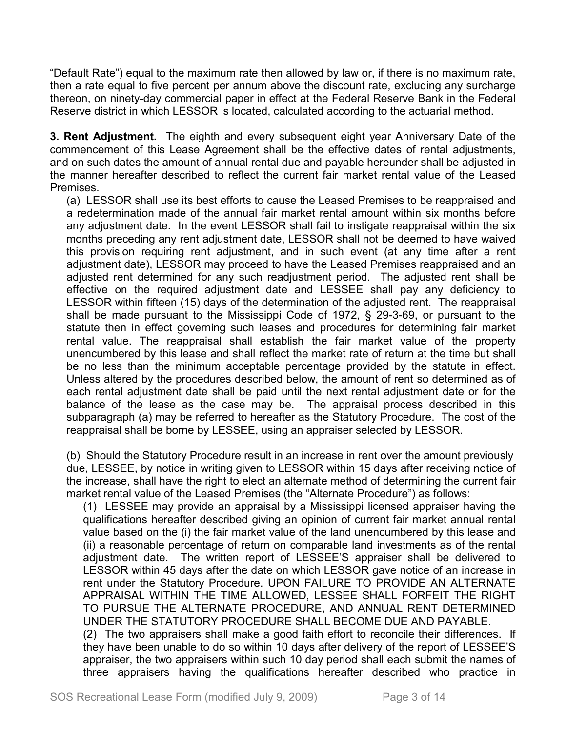"Default Rate") equal to the maximum rate then allowed by law or, if there is no maximum rate, then a rate equal to five percent per annum above the discount rate, excluding any surcharge thereon, on ninety-day commercial paper in effect at the Federal Reserve Bank in the Federal Reserve district in which LESSOR is located, calculated according to the actuarial method.

**3. Rent Adjustment.** The eighth and every subsequent eight year Anniversary Date of the commencement of this Lease Agreement shall be the effective dates of rental adjustments, and on such dates the amount of annual rental due and payable hereunder shall be adjusted in the manner hereafter described to reflect the current fair market rental value of the Leased Premises.

(a) LESSOR shall use its best efforts to cause the Leased Premises to be reappraised and a redetermination made of the annual fair market rental amount within six months before any adjustment date. In the event LESSOR shall fail to instigate reappraisal within the six months preceding any rent adjustment date, LESSOR shall not be deemed to have waived this provision requiring rent adjustment, and in such event (at any time after a rent adjustment date), LESSOR may proceed to have the Leased Premises reappraised and an adjusted rent determined for any such readjustment period. The adjusted rent shall be effective on the required adjustment date and LESSEE shall pay any deficiency to LESSOR within fifteen (15) days of the determination of the adjusted rent. The reappraisal shall be made pursuant to the Mississippi Code of 1972, § 29-3-69, or pursuant to the statute then in effect governing such leases and procedures for determining fair market rental value. The reappraisal shall establish the fair market value of the property unencumbered by this lease and shall reflect the market rate of return at the time but shall be no less than the minimum acceptable percentage provided by the statute in effect. Unless altered by the procedures described below, the amount of rent so determined as of each rental adjustment date shall be paid until the next rental adjustment date or for the balance of the lease as the case may be. The appraisal process described in this subparagraph (a) may be referred to hereafter as the Statutory Procedure. The cost of the reappraisal shall be borne by LESSEE, using an appraiser selected by LESSOR.

(b) Should the Statutory Procedure result in an increase in rent over the amount previously due, LESSEE, by notice in writing given to LESSOR within 15 days after receiving notice of the increase, shall have the right to elect an alternate method of determining the current fair market rental value of the Leased Premises (the "Alternate Procedure") as follows:

(1) LESSEE may provide an appraisal by a Mississippi licensed appraiser having the qualifications hereafter described giving an opinion of current fair market annual rental value based on the (i) the fair market value of the land unencumbered by this lease and (ii) a reasonable percentage of return on comparable land investments as of the rental adjustment date. The written report of LESSEE'S appraiser shall be delivered to LESSOR within 45 days after the date on which LESSOR gave notice of an increase in rent under the Statutory Procedure. UPON FAILURE TO PROVIDE AN ALTERNATE APPRAISAL WITHIN THE TIME ALLOWED, LESSEE SHALL FORFEIT THE RIGHT TO PURSUE THE ALTERNATE PROCEDURE, AND ANNUAL RENT DETERMINED UNDER THE STATUTORY PROCEDURE SHALL BECOME DUE AND PAYABLE. (2) The two appraisers shall make a good faith effort to reconcile their differences. If

they have been unable to do so within 10 days after delivery of the report of LESSEE'S appraiser, the two appraisers within such 10 day period shall each submit the names of three appraisers having the qualifications hereafter described who practice in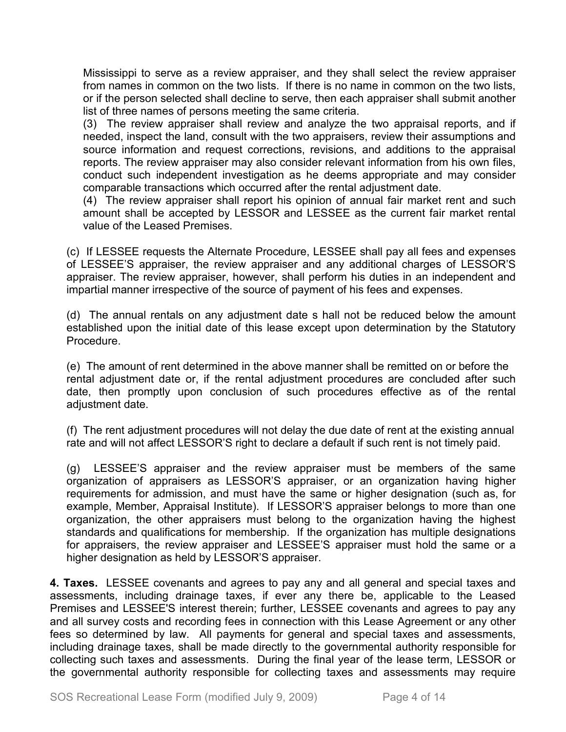Mississippi to serve as a review appraiser, and they shall select the review appraiser from names in common on the two lists. If there is no name in common on the two lists, or if the person selected shall decline to serve, then each appraiser shall submit another list of three names of persons meeting the same criteria.

(3) The review appraiser shall review and analyze the two appraisal reports, and if needed, inspect the land, consult with the two appraisers, review their assumptions and source information and request corrections, revisions, and additions to the appraisal reports. The review appraiser may also consider relevant information from his own files, conduct such independent investigation as he deems appropriate and may consider comparable transactions which occurred after the rental adjustment date.

(4) The review appraiser shall report his opinion of annual fair market rent and such amount shall be accepted by LESSOR and LESSEE as the current fair market rental value of the Leased Premises.

(c) If LESSEE requests the Alternate Procedure, LESSEE shall pay all fees and expenses of LESSEE'S appraiser, the review appraiser and any additional charges of LESSOR'S appraiser. The review appraiser, however, shall perform his duties in an independent and impartial manner irrespective of the source of payment of his fees and expenses.

(d) The annual rentals on any adjustment date s hall not be reduced below the amount established upon the initial date of this lease except upon determination by the Statutory Procedure.

(e) The amount of rent determined in the above manner shall be remitted on or before the rental adjustment date or, if the rental adjustment procedures are concluded after such date, then promptly upon conclusion of such procedures effective as of the rental adjustment date.

(f) The rent adjustment procedures will not delay the due date of rent at the existing annual rate and will not affect LESSOR'S right to declare a default if such rent is not timely paid.

(g) LESSEE'S appraiser and the review appraiser must be members of the same organization of appraisers as LESSOR'S appraiser, or an organization having higher requirements for admission, and must have the same or higher designation (such as, for example, Member, Appraisal Institute). If LESSOR'S appraiser belongs to more than one organization, the other appraisers must belong to the organization having the highest standards and qualifications for membership. If the organization has multiple designations for appraisers, the review appraiser and LESSEE'S appraiser must hold the same or a higher designation as held by LESSOR'S appraiser.

**4. Taxes.** LESSEE covenants and agrees to pay any and all general and special taxes and assessments, including drainage taxes, if ever any there be, applicable to the Leased Premises and LESSEE'S interest therein; further, LESSEE covenants and agrees to pay any and all survey costs and recording fees in connection with this Lease Agreement or any other fees so determined by law. All payments for general and special taxes and assessments, including drainage taxes, shall be made directly to the governmental authority responsible for collecting such taxes and assessments. During the final year of the lease term, LESSOR or the governmental authority responsible for collecting taxes and assessments may require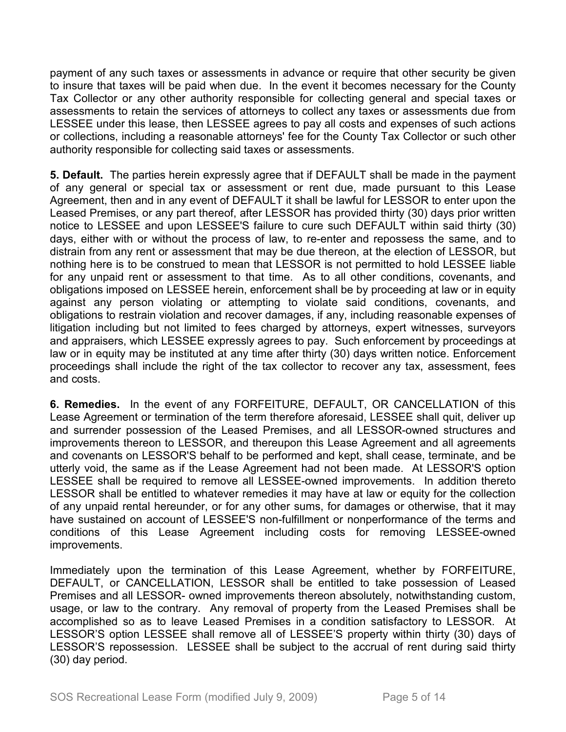payment of any such taxes or assessments in advance or require that other security be given to insure that taxes will be paid when due. In the event it becomes necessary for the County Tax Collector or any other authority responsible for collecting general and special taxes or assessments to retain the services of attorneys to collect any taxes or assessments due from LESSEE under this lease, then LESSEE agrees to pay all costs and expenses of such actions or collections, including a reasonable attorneys' fee for the County Tax Collector or such other authority responsible for collecting said taxes or assessments.

**5. Default.** The parties herein expressly agree that if DEFAULT shall be made in the payment of any general or special tax or assessment or rent due, made pursuant to this Lease Agreement, then and in any event of DEFAULT it shall be lawful for LESSOR to enter upon the Leased Premises, or any part thereof, after LESSOR has provided thirty (30) days prior written notice to LESSEE and upon LESSEE'S failure to cure such DEFAULT within said thirty (30) days, either with or without the process of law, to re-enter and repossess the same, and to distrain from any rent or assessment that may be due thereon, at the election of LESSOR, but nothing here is to be construed to mean that LESSOR is not permitted to hold LESSEE liable for any unpaid rent or assessment to that time. As to all other conditions, covenants, and obligations imposed on LESSEE herein, enforcement shall be by proceeding at law or in equity against any person violating or attempting to violate said conditions, covenants, and obligations to restrain violation and recover damages, if any, including reasonable expenses of litigation including but not limited to fees charged by attorneys, expert witnesses, surveyors and appraisers, which LESSEE expressly agrees to pay. Such enforcement by proceedings at law or in equity may be instituted at any time after thirty (30) days written notice. Enforcement proceedings shall include the right of the tax collector to recover any tax, assessment, fees and costs.

**6. Remedies.** In the event of any FORFEITURE, DEFAULT, OR CANCELLATION of this Lease Agreement or termination of the term therefore aforesaid, LESSEE shall quit, deliver up and surrender possession of the Leased Premises, and all LESSOR-owned structures and improvements thereon to LESSOR, and thereupon this Lease Agreement and all agreements and covenants on LESSOR'S behalf to be performed and kept, shall cease, terminate, and be utterly void, the same as if the Lease Agreement had not been made. At LESSOR'S option LESSEE shall be required to remove all LESSEE-owned improvements. In addition thereto LESSOR shall be entitled to whatever remedies it may have at law or equity for the collection of any unpaid rental hereunder, or for any other sums, for damages or otherwise, that it may have sustained on account of LESSEE'S non-fulfillment or nonperformance of the terms and conditions of this Lease Agreement including costs for removing LESSEE-owned improvements.

Immediately upon the termination of this Lease Agreement, whether by FORFEITURE, DEFAULT, or CANCELLATION, LESSOR shall be entitled to take possession of Leased Premises and all LESSOR- owned improvements thereon absolutely, notwithstanding custom, usage, or law to the contrary. Any removal of property from the Leased Premises shall be accomplished so as to leave Leased Premises in a condition satisfactory to LESSOR. At LESSOR'S option LESSEE shall remove all of LESSEE'S property within thirty (30) days of LESSOR'S repossession. LESSEE shall be subject to the accrual of rent during said thirty (30) day period.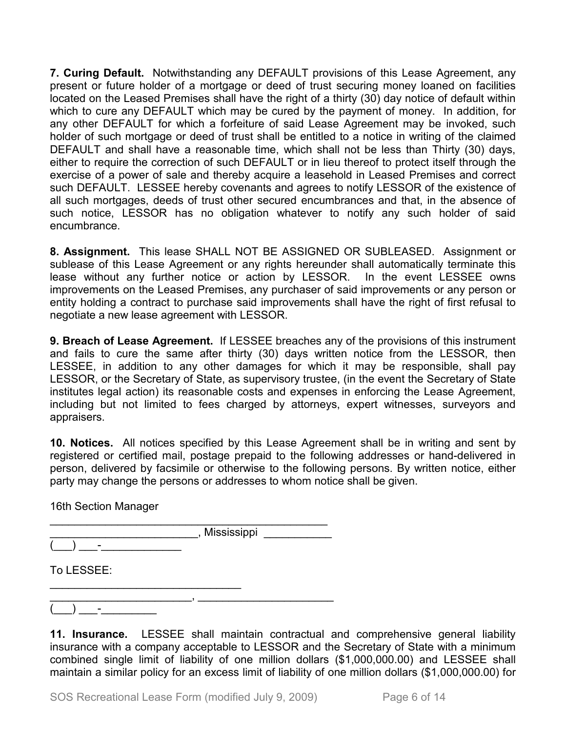**7. Curing Default.** Notwithstanding any DEFAULT provisions of this Lease Agreement, any present or future holder of a mortgage or deed of trust securing money loaned on facilities located on the Leased Premises shall have the right of a thirty (30) day notice of default within which to cure any DEFAULT which may be cured by the payment of money. In addition, for any other DEFAULT for which a forfeiture of said Lease Agreement may be invoked, such holder of such mortgage or deed of trust shall be entitled to a notice in writing of the claimed DEFAULT and shall have a reasonable time, which shall not be less than Thirty (30) days, either to require the correction of such DEFAULT or in lieu thereof to protect itself through the exercise of a power of sale and thereby acquire a leasehold in Leased Premises and correct such DEFAULT. LESSEE hereby covenants and agrees to notify LESSOR of the existence of all such mortgages, deeds of trust other secured encumbrances and that, in the absence of such notice, LESSOR has no obligation whatever to notify any such holder of said encumbrance.

**8. Assignment.** This lease SHALL NOT BE ASSIGNED OR SUBLEASED. Assignment or sublease of this Lease Agreement or any rights hereunder shall automatically terminate this lease without any further notice or action by LESSOR. In the event LESSEE owns improvements on the Leased Premises, any purchaser of said improvements or any person or entity holding a contract to purchase said improvements shall have the right of first refusal to negotiate a new lease agreement with LESSOR.

**9. Breach of Lease Agreement.** If LESSEE breaches any of the provisions of this instrument and fails to cure the same after thirty (30) days written notice from the LESSOR, then LESSEE, in addition to any other damages for which it may be responsible, shall pay LESSOR, or the Secretary of State, as supervisory trustee, (in the event the Secretary of State institutes legal action) its reasonable costs and expenses in enforcing the Lease Agreement, including but not limited to fees charged by attorneys, expert witnesses, surveyors and appraisers.

**10. Notices.** All notices specified by this Lease Agreement shall be in writing and sent by registered or certified mail, postage prepaid to the following addresses or hand-delivered in person, delivered by facsimile or otherwise to the following persons. By written notice, either party may change the persons or addresses to whom notice shall be given.

16th Section Manager

\_\_\_\_\_\_\_\_\_\_\_\_\_\_\_\_\_\_\_\_\_\_\_\_\_\_\_\_\_\_\_\_\_\_\_\_\_\_\_\_\_\_\_\_\_ , Mississippi

 $(\_\_) \_\_$  .

To LESSEE:

\_\_\_\_\_\_\_\_\_\_\_\_\_\_\_\_\_\_\_\_\_\_\_, \_\_\_\_\_\_\_\_\_\_\_\_\_\_\_\_\_\_\_\_\_\_  $(\_\_) \_\_$  .

\_\_\_\_\_\_\_\_\_\_\_\_\_\_\_\_\_\_\_\_\_\_\_\_\_\_\_\_\_\_\_

**11. Insurance.** LESSEE shall maintain contractual and comprehensive general liability insurance with a company acceptable to LESSOR and the Secretary of State with a minimum combined single limit of liability of one million dollars (\$1,000,000.00) and LESSEE shall maintain a similar policy for an excess limit of liability of one million dollars (\$1,000,000.00) for

SOS Recreational Lease Form (modified July 9, 2009) Page 6 of 14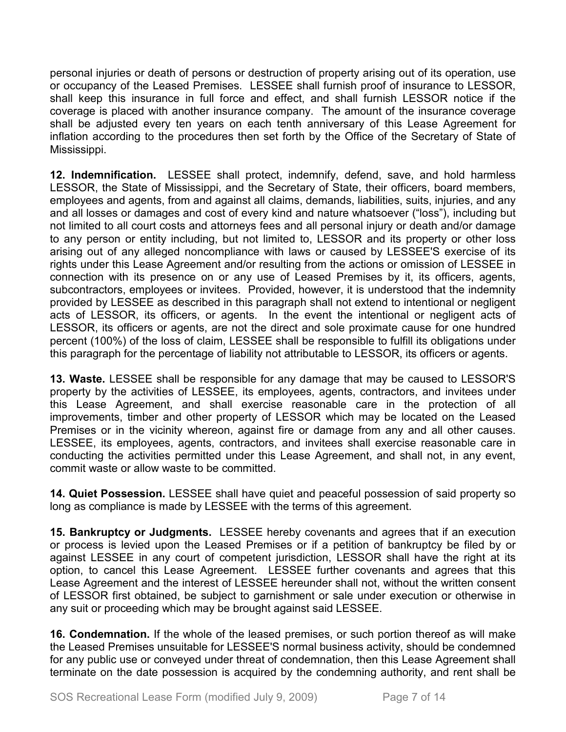personal injuries or death of persons or destruction of property arising out of its operation, use or occupancy of the Leased Premises. LESSEE shall furnish proof of insurance to LESSOR, shall keep this insurance in full force and effect, and shall furnish LESSOR notice if the coverage is placed with another insurance company. The amount of the insurance coverage shall be adjusted every ten years on each tenth anniversary of this Lease Agreement for inflation according to the procedures then set forth by the Office of the Secretary of State of Mississippi.

**12. Indemnification.** LESSEE shall protect, indemnify, defend, save, and hold harmless LESSOR, the State of Mississippi, and the Secretary of State, their officers, board members, employees and agents, from and against all claims, demands, liabilities, suits, injuries, and any and all losses or damages and cost of every kind and nature whatsoever ("loss"), including but not limited to all court costs and attorneys fees and all personal injury or death and/or damage to any person or entity including, but not limited to, LESSOR and its property or other loss arising out of any alleged noncompliance with laws or caused by LESSEE'S exercise of its rights under this Lease Agreement and/or resulting from the actions or omission of LESSEE in connection with its presence on or any use of Leased Premises by it, its officers, agents, subcontractors, employees or invitees. Provided, however, it is understood that the indemnity provided by LESSEE as described in this paragraph shall not extend to intentional or negligent acts of LESSOR, its officers, or agents. In the event the intentional or negligent acts of LESSOR, its officers or agents, are not the direct and sole proximate cause for one hundred percent (100%) of the loss of claim, LESSEE shall be responsible to fulfill its obligations under this paragraph for the percentage of liability not attributable to LESSOR, its officers or agents.

**13. Waste.** LESSEE shall be responsible for any damage that may be caused to LESSOR'S property by the activities of LESSEE, its employees, agents, contractors, and invitees under this Lease Agreement, and shall exercise reasonable care in the protection of all improvements, timber and other property of LESSOR which may be located on the Leased Premises or in the vicinity whereon, against fire or damage from any and all other causes. LESSEE, its employees, agents, contractors, and invitees shall exercise reasonable care in conducting the activities permitted under this Lease Agreement, and shall not, in any event, commit waste or allow waste to be committed.

**14. Quiet Possession.** LESSEE shall have quiet and peaceful possession of said property so long as compliance is made by LESSEE with the terms of this agreement.

**15. Bankruptcy or Judgments.** LESSEE hereby covenants and agrees that if an execution or process is levied upon the Leased Premises or if a petition of bankruptcy be filed by or against LESSEE in any court of competent jurisdiction, LESSOR shall have the right at its option, to cancel this Lease Agreement. LESSEE further covenants and agrees that this Lease Agreement and the interest of LESSEE hereunder shall not, without the written consent of LESSOR first obtained, be subject to garnishment or sale under execution or otherwise in any suit or proceeding which may be brought against said LESSEE.

**16. Condemnation.** If the whole of the leased premises, or such portion thereof as will make the Leased Premises unsuitable for LESSEE'S normal business activity, should be condemned for any public use or conveyed under threat of condemnation, then this Lease Agreement shall terminate on the date possession is acquired by the condemning authority, and rent shall be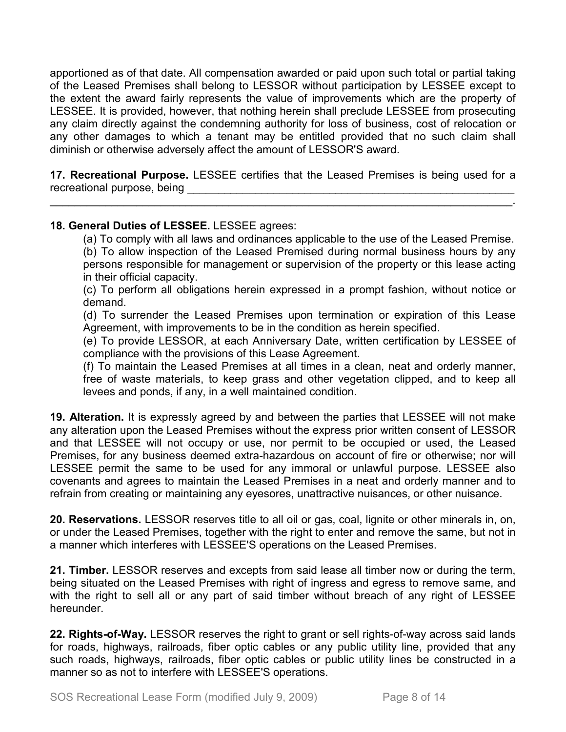apportioned as of that date. All compensation awarded or paid upon such total or partial taking of the Leased Premises shall belong to LESSOR without participation by LESSEE except to the extent the award fairly represents the value of improvements which are the property of LESSEE. It is provided, however, that nothing herein shall preclude LESSEE from prosecuting any claim directly against the condemning authority for loss of business, cost of relocation or any other damages to which a tenant may be entitled provided that no such claim shall diminish or otherwise adversely affect the amount of LESSOR'S award.

**17. Recreational Purpose.** LESSEE certifies that the Leased Premises is being used for a recreational purpose, being

\_\_\_\_\_\_\_\_\_\_\_\_\_\_\_\_\_\_\_\_\_\_\_\_\_\_\_\_\_\_\_\_\_\_\_\_\_\_\_\_\_\_\_\_\_\_\_\_\_\_\_\_\_\_\_\_\_\_\_\_\_\_\_\_\_\_\_\_\_\_\_\_\_\_\_.

## **18. General Duties of LESSEE.** LESSEE agrees:

(a) To comply with all laws and ordinances applicable to the use of the Leased Premise.

(b) To allow inspection of the Leased Premised during normal business hours by any persons responsible for management or supervision of the property or this lease acting in their official capacity.

(c) To perform all obligations herein expressed in a prompt fashion, without notice or demand.

(d) To surrender the Leased Premises upon termination or expiration of this Lease Agreement, with improvements to be in the condition as herein specified.

(e) To provide LESSOR, at each Anniversary Date, written certification by LESSEE of compliance with the provisions of this Lease Agreement.

(f) To maintain the Leased Premises at all times in a clean, neat and orderly manner, free of waste materials, to keep grass and other vegetation clipped, and to keep all levees and ponds, if any, in a well maintained condition.

**19. Alteration.** It is expressly agreed by and between the parties that LESSEE will not make any alteration upon the Leased Premises without the express prior written consent of LESSOR and that LESSEE will not occupy or use, nor permit to be occupied or used, the Leased Premises, for any business deemed extra-hazardous on account of fire or otherwise; nor will LESSEE permit the same to be used for any immoral or unlawful purpose. LESSEE also covenants and agrees to maintain the Leased Premises in a neat and orderly manner and to refrain from creating or maintaining any eyesores, unattractive nuisances, or other nuisance.

**20. Reservations.** LESSOR reserves title to all oil or gas, coal, lignite or other minerals in, on, or under the Leased Premises, together with the right to enter and remove the same, but not in a manner which interferes with LESSEE'S operations on the Leased Premises.

**21. Timber.** LESSOR reserves and excepts from said lease all timber now or during the term, being situated on the Leased Premises with right of ingress and egress to remove same, and with the right to sell all or any part of said timber without breach of any right of LESSEE hereunder.

**22. Rights-of-Way.** LESSOR reserves the right to grant or sell rights-of-way across said lands for roads, highways, railroads, fiber optic cables or any public utility line, provided that any such roads, highways, railroads, fiber optic cables or public utility lines be constructed in a manner so as not to interfere with LESSEE'S operations.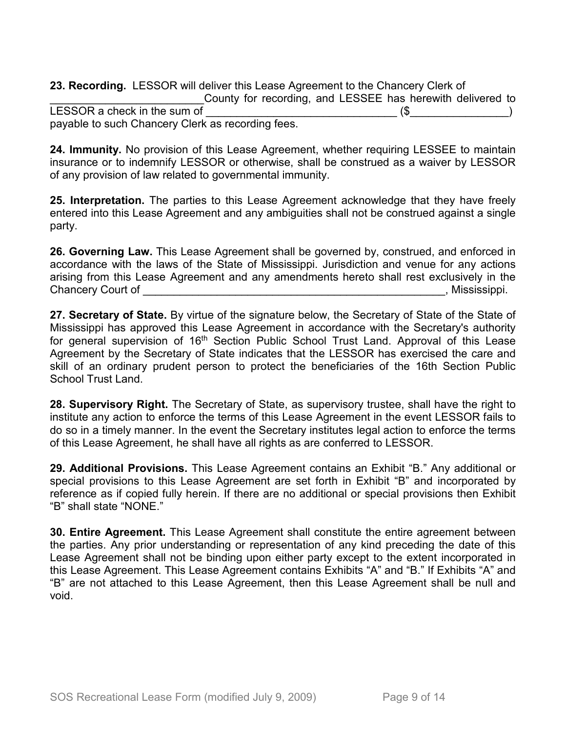**23. Recording.** LESSOR will deliver this Lease Agreement to the Chancery Clerk of County for recording, and LESSEE has herewith delivered to LESSOR a check in the sum of \_\_\_\_\_\_\_\_\_\_\_\_\_\_\_\_\_\_\_\_\_\_\_\_\_\_\_\_\_\_\_ (\$\_\_\_\_\_\_\_\_\_\_\_\_\_\_\_\_) payable to such Chancery Clerk as recording fees.

**24. Immunity.** No provision of this Lease Agreement, whether requiring LESSEE to maintain insurance or to indemnify LESSOR or otherwise, shall be construed as a waiver by LESSOR of any provision of law related to governmental immunity.

**25. Interpretation.** The parties to this Lease Agreement acknowledge that they have freely entered into this Lease Agreement and any ambiguities shall not be construed against a single party.

**26. Governing Law.** This Lease Agreement shall be governed by, construed, and enforced in accordance with the laws of the State of Mississippi. Jurisdiction and venue for any actions arising from this Lease Agreement and any amendments hereto shall rest exclusively in the Chancery Court of \_\_\_\_\_\_\_\_\_\_\_\_\_\_\_\_\_\_\_\_\_\_\_\_\_\_\_\_\_\_\_\_\_\_\_\_\_\_\_\_\_\_\_\_\_\_\_\_\_, Mississippi.

**27. Secretary of State.** By virtue of the signature below, the Secretary of State of the State of Mississippi has approved this Lease Agreement in accordance with the Secretary's authority for general supervision of 16<sup>th</sup> Section Public School Trust Land. Approval of this Lease Agreement by the Secretary of State indicates that the LESSOR has exercised the care and skill of an ordinary prudent person to protect the beneficiaries of the 16th Section Public School Trust Land.

**28. Supervisory Right.** The Secretary of State, as supervisory trustee, shall have the right to institute any action to enforce the terms of this Lease Agreement in the event LESSOR fails to do so in a timely manner. In the event the Secretary institutes legal action to enforce the terms of this Lease Agreement, he shall have all rights as are conferred to LESSOR.

**29. Additional Provisions.** This Lease Agreement contains an Exhibit "B." Any additional or special provisions to this Lease Agreement are set forth in Exhibit "B" and incorporated by reference as if copied fully herein. If there are no additional or special provisions then Exhibit "B" shall state "NONE."

**30. Entire Agreement.** This Lease Agreement shall constitute the entire agreement between the parties. Any prior understanding or representation of any kind preceding the date of this Lease Agreement shall not be binding upon either party except to the extent incorporated in this Lease Agreement. This Lease Agreement contains Exhibits "A" and "B." If Exhibits "A" and "B" are not attached to this Lease Agreement, then this Lease Agreement shall be null and void.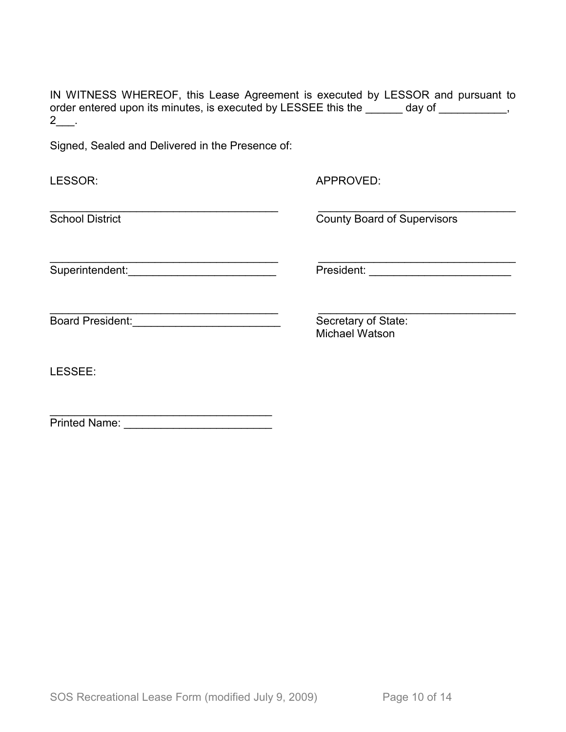IN WITNESS WHEREOF, this Lease Agreement is executed by LESSOR and pursuant to order entered upon its minutes, is executed by LESSEE this the \_\_\_\_\_\_ day of \_\_\_\_\_\_\_\_\_\_,  $2$ \_\_\_.

Signed, Sealed and Delivered in the Presence of:

| LESSOR:                 | APPROVED:                                    |
|-------------------------|----------------------------------------------|
| <b>School District</b>  | <b>County Board of Supervisors</b>           |
| Superintendent:         |                                              |
| <b>Board President:</b> | Secretary of State:<br><b>Michael Watson</b> |
| LESSEE:                 |                                              |
| <b>Printed Name:</b>    |                                              |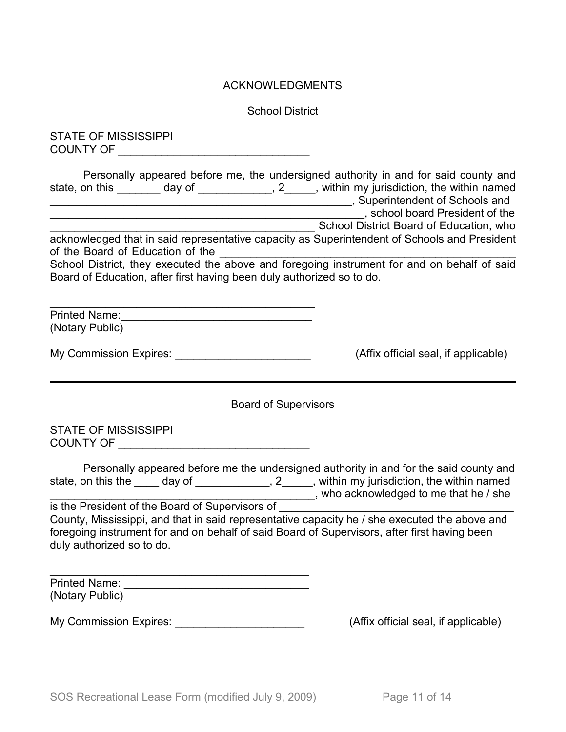### ACKNOWLEDGMENTS

School District

STATE OF MISSISSIPPI COUNTY OF QUALITY OF

Personally appeared before me, the undersigned authority in and for said county and state, on this \_\_\_\_\_\_\_ day of \_\_\_\_\_\_\_\_\_\_\_, 2\_\_\_\_, within my jurisdiction, the within named \_\_\_\_\_\_\_\_\_\_\_\_\_\_\_\_\_\_\_\_\_\_\_\_\_\_\_\_\_\_\_\_\_\_\_\_\_\_\_\_\_\_\_\_\_\_\_\_\_, Superintendent of Schools and \_\_\_\_\_\_\_\_\_\_\_\_\_\_\_\_\_\_\_\_\_\_\_\_\_\_\_\_\_\_\_\_\_\_\_\_\_\_\_\_\_\_\_\_\_\_\_\_\_\_\_, school board President of the School District Board of Education, who

acknowledged that in said representative capacity as Superintendent of Schools and President of the Board of Education of the

School District, they executed the above and foregoing instrument for and on behalf of said Board of Education, after first having been duly authorized so to do.

| <b>Printed Name:</b> |  |
|----------------------|--|
| (Notary Public)      |  |

|  | <b>My Commission Expires:</b> |  |  |
|--|-------------------------------|--|--|
|--|-------------------------------|--|--|

 $(Affix)$  official seal, if applicable)

Board of Supervisors

STATE OF MISSISSIPPI COUNTY OF \_\_\_\_\_\_\_\_\_\_\_\_\_\_\_\_\_\_\_\_\_\_\_\_\_\_\_\_\_\_\_

|                    |        | Personally appeared before me the undersigned authority in and for the said county and |
|--------------------|--------|----------------------------------------------------------------------------------------|
| state, on this the | day of | , within my jurisdiction, the within named                                             |
|                    |        | , who acknowledged to me that he / she                                                 |

is the President of the Board of Supervisors of \_\_\_\_\_\_\_\_\_\_\_\_\_\_\_\_\_\_\_\_\_\_\_\_\_\_\_\_\_\_\_\_ County, Mississippi, and that in said representative capacity he / she executed the above and foregoing instrument for and on behalf of said Board of Supervisors, after first having been duly authorized so to do.

| <b>Printed Name:</b> |  |  |
|----------------------|--|--|
| (Notary Public)      |  |  |

My Commission Expires:  $\blacksquare$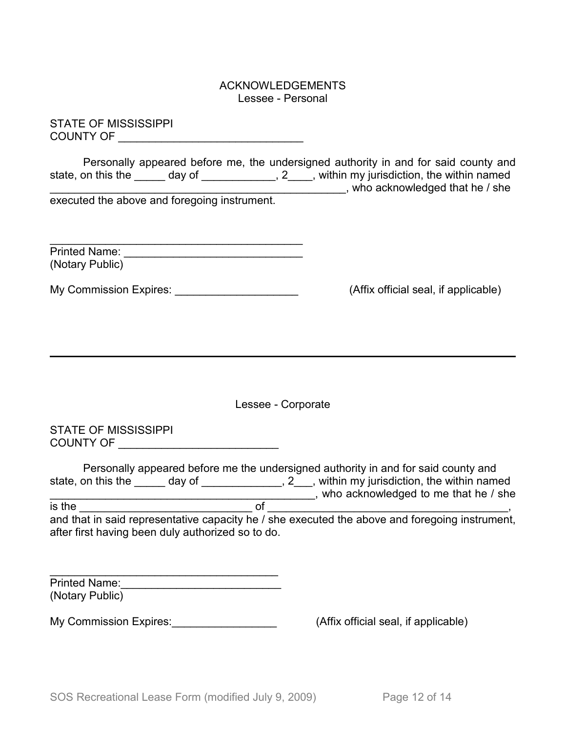#### ACKNOWLEDGEMENTS Lessee - Personal

STATE OF MISSISSIPPI COUNTY OF \_\_\_\_\_\_\_\_\_\_\_\_\_\_\_\_\_\_\_\_\_\_\_\_\_\_\_\_\_\_

Personally appeared before me, the undersigned authority in and for said county and state, on this the \_\_\_\_\_ day of \_\_\_\_\_\_\_\_\_\_\_, 2\_\_\_\_, within my jurisdiction, the within named \_\_\_\_\_\_\_\_\_\_\_\_\_\_\_\_\_\_\_\_\_\_\_\_\_\_\_\_\_\_\_\_\_\_\_\_\_\_\_\_\_\_\_\_\_\_\_\_, who acknowledged that he / she

executed the above and foregoing instrument.

| <b>Printed Name:</b> |  |
|----------------------|--|
| (Notary Public)      |  |

My Commission Expires: \_\_\_\_\_\_\_\_\_\_\_\_\_\_\_\_\_\_\_\_ (Affix official seal, if applicable)

Lessee - Corporate

STATE OF MISSISSIPPI COUNTY OF \_\_\_\_\_\_\_\_\_\_\_\_\_\_\_\_\_\_\_\_\_\_\_\_\_\_

Personally appeared before me the undersigned authority in and for said county and state, on this the \_\_\_\_\_\_ day of \_\_\_\_\_\_\_\_\_\_\_\_\_\_, 2\_\_\_, within my jurisdiction, the within named \_\_\_\_\_\_\_\_\_\_\_\_\_\_\_\_\_\_\_\_\_\_\_\_\_\_\_\_\_\_\_\_\_\_\_\_\_\_\_\_\_\_\_, who acknowledged to me that he / she

is the \_\_\_\_\_\_\_\_\_\_\_\_\_\_\_\_\_\_\_\_\_\_\_\_\_\_\_\_ of \_\_\_\_\_\_\_\_\_\_\_\_\_\_\_\_\_\_\_\_\_\_\_\_\_\_\_\_\_\_\_\_\_\_\_\_\_\_\_, and that in said representative capacity he / she executed the above and foregoing instrument, after first having been duly authorized so to do.

| <b>Printed Name:</b> |  |
|----------------------|--|
| (Notary Public)      |  |

My Commission Expires: My Commission Expires:  $(Affix)$  official seal, if applicable)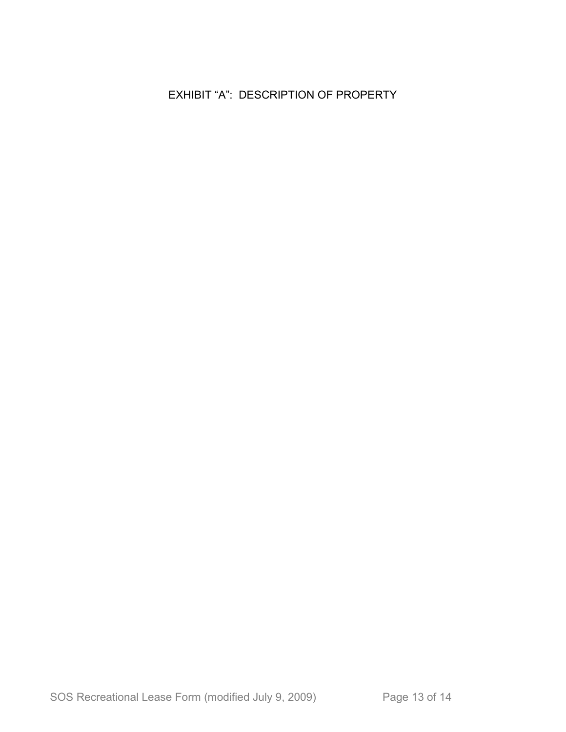## EXHIBIT "A": DESCRIPTION OF PROPERTY